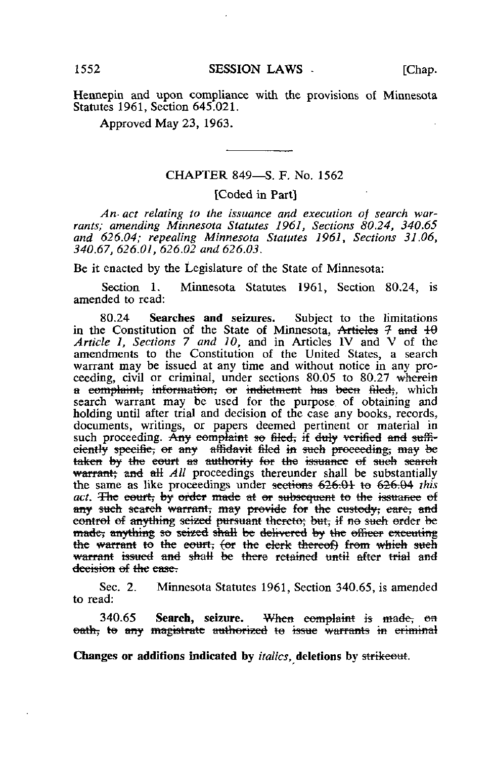Hennepin and upon compliance with the provisions of Minnesota Statutes 1961, Section 645.021.

Approved May 23, 1963.

## CHAPTER 849—S. F. No. 1562

## [Coded in Part]

An- act relating to the issuance and execution of search warrants; amending Minnesota Statutes 1961, Sections 80.24, 340.65 and 626.04; repealing Minnesota Statutes 1961, Sections 31.06, 340.67, 626.01, 626.02 and 626.03.

Be it enacted by the Legislature of the State of Minnesota:

Section 1. Minnesota Statutes 1961, Section 80,24, is amended to read:

80.24 Searches and seizures. Subject to the limitations in the Constitution of the State of Minnesota, Articles  $\frac{1}{7}$  and  $\frac{1}{10}$ Article 1, Sections 7 and 10, and in Articles IV and V of the amendments to the Constitution of the United States, a search warrant may be issued at any time and without notice in any proceeding, civil or criminal, under sections 80.05 to 80.27 wherein a complaint, information, or indictment has been filed;, which search warrant may be used for the purpose, of obtaining and holding until after trial and decision of the case any books, records., documents, writings, or papers deemed pertinent or material in such proceeding. Any complaint so filed, if duly verified and sufficiently specifie, or any affidavit filed in such proceeding, may be taken by the court as authority for the issuance of such search warrant; and all  $All$  proceedings thereunder shall be substantially the same as like proceedings under sections 626.01 to 626.04 this act. The eourt, by order made at or subsequent to the issuance of any such search warrant, may provide for the custody; care, and control of anything seized pursuant thereto; but, if no such order be made; anything so seized shall be delivered by the officer exceuting the warrant to the court, (or the clerk thereof) from which such warrant issued and shall be there retained until after trial and decision of the ease.

Sec. 2. Minnesota Statutes 1961, Section 340.65, is amended to read:

340.65 Search, seizure. When complaint is made, on oath, to any magistrate authorized to issue warrants in criminal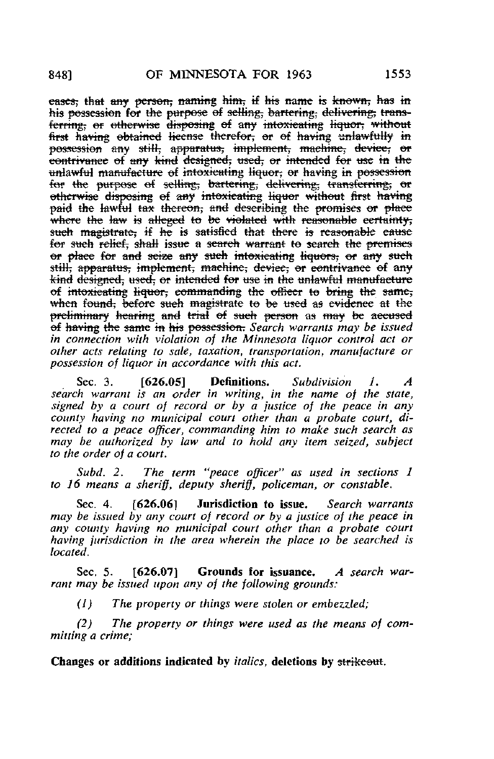eases; that any person, naming him, if his name is known, has in his possession for the purpose of selling, bartering; delivering; transferring; or otherwise disposing of any intoxicating liquor, without first having obtained license therefor, or of having unlawfully in possession any still, apparatus, implement, machine, device, or eontrivance of any kind designed, used, or intended for use in the unlawful manufacture of intoxicating liquor; or having in possession for the purpose of selling, bartering, delivering, transferring, or otherwise disposing of any intoxicating liquor without first having paid the lawful tax thereon; and describing the promises or place where the law is alleged to be violated with reasonable certainty, such magistrate; if he is satisfied that there is reasonable cause for such relief, shall issue a search warrant to search the premises or place for and seize any such intoxicating liquors, or any such still; apparatus; implement, machine; device; or contrivance of any kind designed, used, or intended for use in the unlawful manufacture of intoxicating liquor; commanding the officer to bring the same; when found, before sueh magistrate to be used as evidence at the preliminary hearing and trial of such person as may be accused of having the same in his possession. Search warrants may be issued in connection with violation of the Minnesota liquor control act or other acts relating to sale, taxation, transportation, manufacture or possession of liquor in accordance with this act.

Sec. 3.  $[626.05]$  Definitions. Subdivision 1. A search warrant is an order in writing, in the name of the state, signed by a court of record or by a justice of the peace in any county having no municipal court other than a probate court, directed to a peace officer, commanding him to make such search as may be authorized by law and to hold any item seized, subject to the order of a court.

Subd. 2. The term "peace officer" as used in sections I to 16 means a sheriff, deputy sheriff, policeman, or constable.

Sec. 4. [626.06] Jurisdiction to issue. Search warrants may be issued by any court of record or by a justice of the peace in any county having no municipal court other than a probate court having jurisdiction in the area wherein the place to be searched is located.

Sec. 5. [626.07] Grounds for issuance. A search warrant may be issued upon any of the following grounds;

(1) The property or things were stolen or embezzled;

(2) The property or things were used as the means of committing a crime;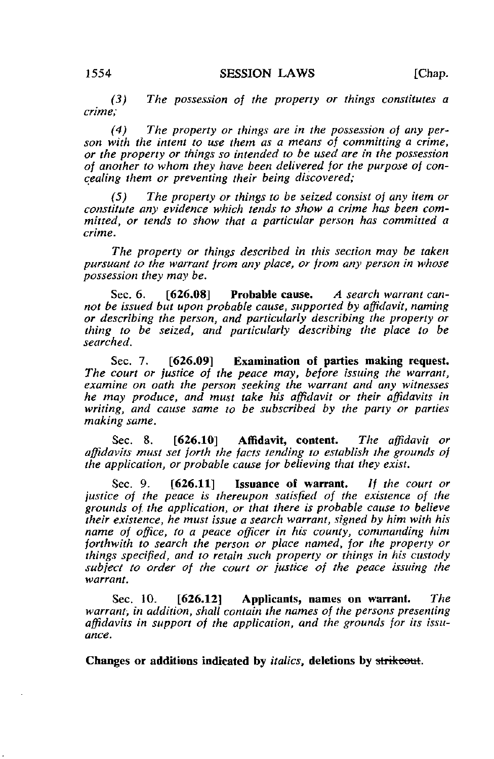(3) The possession of the property or things constitutes a crime;

(4) The property or things are in the possession of any person with the intent to use them as a means of committing a crime, or the property or things so intended to be used are in the possession of another to whom they have been delivered for the purpose of concealing them or preventing their being discovered;

(5) The property or things to be seized consist of any item or constitute any evidence which tends to show a crime has been committed, or tends to show that a particular person has committed a crime.

The property or things described in this section may be taken pursuant to the warrant from any place, or from any person in whose possession they may be.

Sec. 6. [626.08] Probable cause. A search warrant cannot be issued but upon probable cause, supported by affidavit, naming or describing the person, and particularly describing the property or thing to be seized, and particularly describing the place to be searched.

Sec. 7. [626.09] Examination of parties making request. The court or justice of the peace may, before issuing the warrant, examine on oath the person seeking the warrant and any witnesses he may produce, and must take his affidavit or their affidavits in writing, and cause same to be subscribed by the party or parties making same.

Sec. 8. [626.10] Affidavit, content. The affidavit or affidavits must set forth the facts tending to establish the grounds of the application, or probable cause for believing that they exist.

Sec. 9. [626.11] Issuance of warrant. If the court or justice of the peace is thereupon satisfied of the existence of the grounds of. the application, or that there is probable cause to believe their existence, he must issue a search warrant, signed by him with his name of office, to a peace officer in his county, commanding him forthwith to search the person or place named, for the property or things specified, and to retain such property or things in his custody subject to order of the court or justice of the peace issuing the warrant.

Sec. 10. [626.12] Applicants, names on warrant. The warrant, in addition, shall contain the names of the persons presenting affidavits in support of the application, and the grounds for its issuance.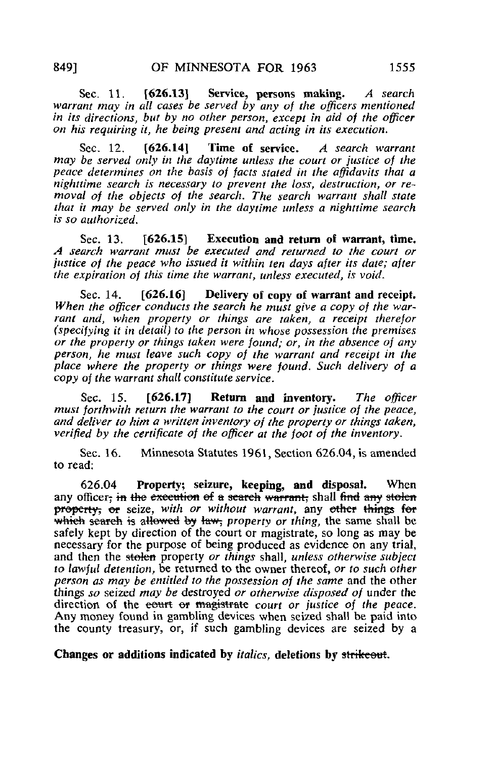Sec. 11. [626.13] Service, persons making. A search warrant may in all cases be served by any of the officers mentioned in its directions, but by no other person, except in aid of the officer on his requiring it, he being present and acting in its execution.

Sec. 12. [626.14] Time of service. A search warrant may be served only in the daytime unless the court or justice of the peace determines on the basis of facts staled in the affidavits that a nighttime search is necessary to prevent the loss, destruction, or removal of the objects of the search. The search warrant shall state that it may be served only in the daytime unless a nighttime search is so authorized.

Sec. 13. [626.15] Execution and return of warrant, time. A search warrant must be executed and returned to the court or justice of the peace who issued it within ten days after its date; after the expiration of this time the warrant, unless executed, is void.

Sec. 14. [626.16] Delivery of copy of warrant and receipt. When the officer conducts the search he must give a copy of the warrant and, when property or things are taken, a receipt therefor (specifying it in detail) to the person in whose possession the premises or the property or things taken were found; or, in the absence of any person, he must leave such copy of the warrant and receipt in the place where the property or things were found. Such delivery of a copy of the warrant shall constitute service.

Sec. 15. [626.17] Return and inventory. The officer must forthwith return the warrant to the court or justice of the peace, and deliver to him a written inventory of the property or things taken, verified by the certificate of the officer at the foot of the inventory.

Sec. 16. Minnesota Statutes 1961, Section 626.04, is amended to read:

626.04 Property; seizure, keeping, and disposal. When any officer; in the execution of a search warrant; shall find any stolen property, or seize, with or without warrant, any other things for which search is allowed by law; property or thing, the same shall be safely kept by direction of the court or magistrate, so long as may be necessary for the purpose of being produced as evidence on any trial, and then the stolen property or things shall, unless otherwise subject to lawful detention, be returned to the owner thereof, or to such other person as may be entitled to the possession of the same and the other things so seized may be destroyed or otherwise disposed of under the direction of the eourt or magistrate court or justice of the peace. Any money found in gambling devices when seized shall be paid into the county treasury, or, if such gambling devices are seized by a